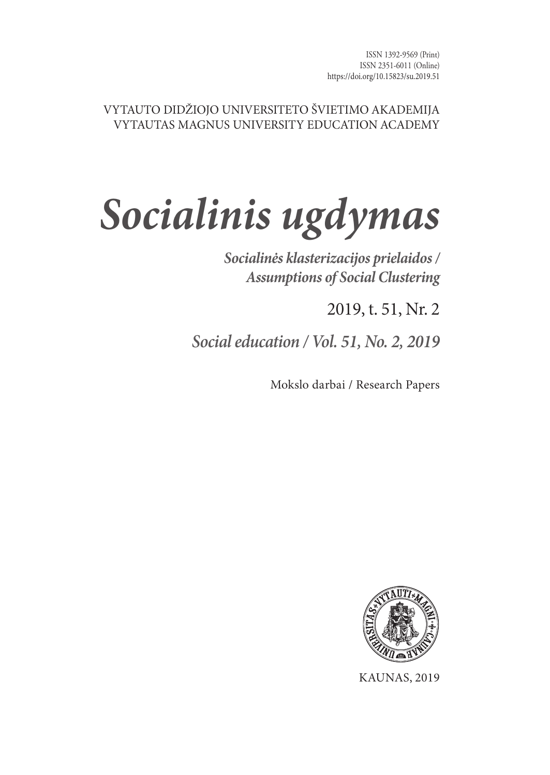#### VYTAUTO DIDŽIOJO UNIVERSITETO ŠVIETIMO AKADEMIJA VYTAUTAS MAGNUS UNIVERSITY EDUCATION ACADEMY

# *Socialinis ugdymas*

*Socialinės klasterizacijos prielaidos / Assumptions of Social Clustering*

2019, t. 51, Nr. 2

*Social education / Vol. 51, No. 2, 2019*

Mokslo darbai / Research Papers



KAUNAS, 2019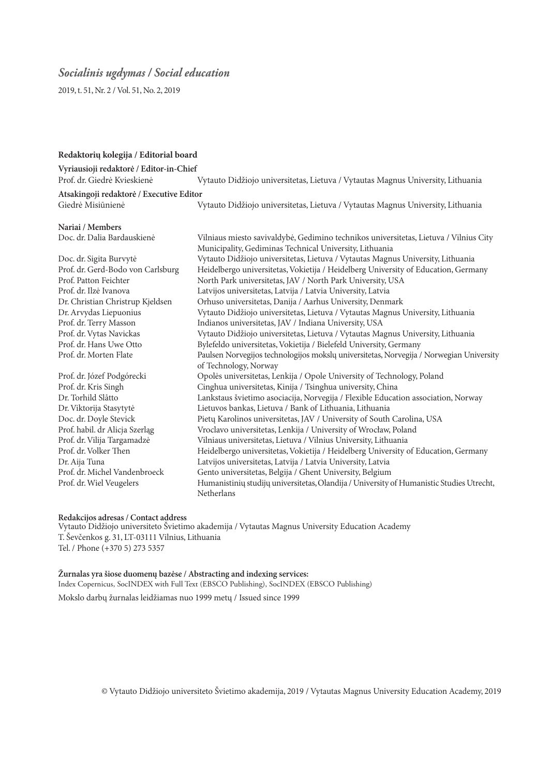#### *Socialinis ugdymas / Social education*

2019, t. 51, Nr. 2 / Vol. 51, No. 2, 2019

#### **Redaktorių kolegija / Editorial board**

**Vyriausioji redaktorė / Editor-in-Chief**

Vytauto Didžiojo universitetas, Lietuva / Vytautas Magnus University, Lithuania

**Atsakingoji redaktorė / Executive Editor** Vytauto Didžiojo universitetas, Lietuva / Vytautas Magnus University, Lithuania

**Nariai / Members**

Vilniaus miesto savivaldybė, Gedimino technikos universitetas, Lietuva / Vilnius City Municipality, Gediminas Technical University, Lithuania Doc. dr. Sigita Burvytė Vytauto Didžiojo universitetas, Lietuva / Vytautas Magnus University, Lithuania Prof. dr. Gerd-Bodo von Carlsburg Heidelbergo universitetas, Vokietija / Heidelberg University of Education, Germany Prof. Patton Feichter North Park universitetas, JAV / North Park University, USA Prof. dr. Ilzė Ivanova Latvijos universitetas, Latvija / Latvia University, Latvia Dr. Christian Christrup Kjeldsen Orhuso universitetas, Danija / Aarhus University, Denmark Dr. Arvydas Liepuonius Vytauto Didžiojo universitetas, Lietuva / Vytautas Magnus University, Lithuania Prof. dr. Terry Masson Indianos universitetas, JAV / Indiana University, USA Prof. dr. Vytas Navickas Vytauto Didžiojo universitetas, Lietuva / Vytautas Magnus University, Lithuania Prof. dr. Hans Uwe Otto Bylefeldo universitetas, Vokietija / Bielefeld University, Germany Paulsen Norvegijos technologijos mokslų universitetas, Norvegija / Norwegian University of Technology, Norway Prof. dr. Józef Podgórecki Opolės universitetas, Lenkija / Opole University of Technology, Poland Prof. dr. Kris Singh Cinghua universitetas, Kinija / Tsinghua university, China Dr. Torhild Slåtto Lankstaus švietimo asociacija, Norvegija / Flexible Education association, Norway Dr. Viktorija Stasytytė Lietuvos bankas, Lietuva / Bank of Lithuania, Lithuania Doc. dr. Doyle Stevick Pietų Karolinos universitetas, JAV / University of South Carolina, USA Prof. habil. dr Alicja Szerląg Vroclavo universitetas, Lenkija / University of Wrocław, Poland Prof. dr. Vilija Targamadzė Vilniaus universitetas, Lietuva / Vilnius University, Lithuania Prof. dr. Volker Then Heidelbergo universitetas, Vokietija / Heidelberg University of Education, Germany<br>Dr. Aija Tuna I. atvija I. atvija / Latvija / Latvija University Latvija Latvijos universitetas, Latvija / Latvia University, Latvia Prof. dr. Michel Vandenbroeck Gento universitetas, Belgija / Ghent University, Belgium Prof. dr. Wiel Veugelers Humanistinių studijų universitetas, Olandija / University of Humanistic Studies Utrecht, Netherlans

#### **Redakcijos adresas / Contact address**

Vytauto Didžiojo universiteto Švietimo akademija / Vytautas Magnus University Education Academy T. Ševčenkos g. 31, LT-03111 Vilnius, Lithuania Tel. / Phone (+370 5) 273 5357

**Žurnalas yra šiose duomenų bazėse / Abstracting and indexing services:** Index Copernicus, SocINDEX with Full Text (EBSCO Publishing), SocINDEX (EBSCO Publishing)

Mokslo darbų žurnalas leidžiamas nuo 1999 metų / Issued since 1999

© Vytauto Didžiojo universiteto Švietimo akademija, 2019 / Vytautas Magnus University Education Academy, 2019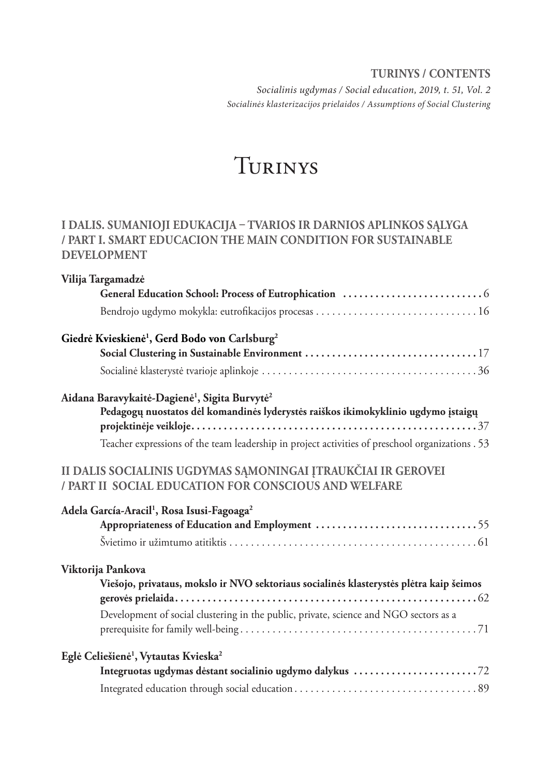**TURINYS / CONTENTS** *Socialinis ugdymas / Social education, 2019, t. 51, Vol. 2 Socialinės klasterizacijos prielaidos / Assumptions of Social Clustering*

# Turinys

#### **I DALIS. SUMANIOJI EDUKACIJA – TVARIOS IR DARNIOS APLINKOS SĄLYGA / PART I. SMART EDUCACION THE MAIN CONDITION FOR SUSTAINABLE DEVELOPMENT**

| Vilija Targamadzė                                                                                                        |
|--------------------------------------------------------------------------------------------------------------------------|
|                                                                                                                          |
|                                                                                                                          |
| Giedrė Kvieskienė <sup>1</sup> , Gerd Bodo von Carlsburg <sup>2</sup><br>Social Clustering in Sustainable Environment 17 |
|                                                                                                                          |
| Aidana Baravykaitė-Dagienė <sup>1</sup> , Sigita Burvytė <sup>2</sup>                                                    |
| Pedagogų nuostatos dėl komandinės lyderystės raiškos ikimokyklinio ugdymo įstaigų                                        |
| Teacher expressions of the team leadership in project activities of preschool organizations . 53                         |
| II DALIS SOCIALINIS UGDYMAS SĄMONINGAI ĮTRAUKČIAI IR GEROVEI<br>/ PART II SOCIAL EDUCATION FOR CONSCIOUS AND WELFARE     |
| Adela García-Aracil <sup>1</sup> , Rosa Isusi-Fagoaga <sup>2</sup>                                                       |
|                                                                                                                          |
|                                                                                                                          |
| Viktorija Pankova                                                                                                        |
| Viešojo, privataus, mokslo ir NVO sektoriaus socialinės klasterystės plėtra kaip šeimos                                  |
| Development of social clustering in the public, private, science and NGO sectors as a                                    |
| Eglė Celiešienė <sup>1</sup> , Vytautas Kvieska <sup>2</sup>                                                             |
|                                                                                                                          |
|                                                                                                                          |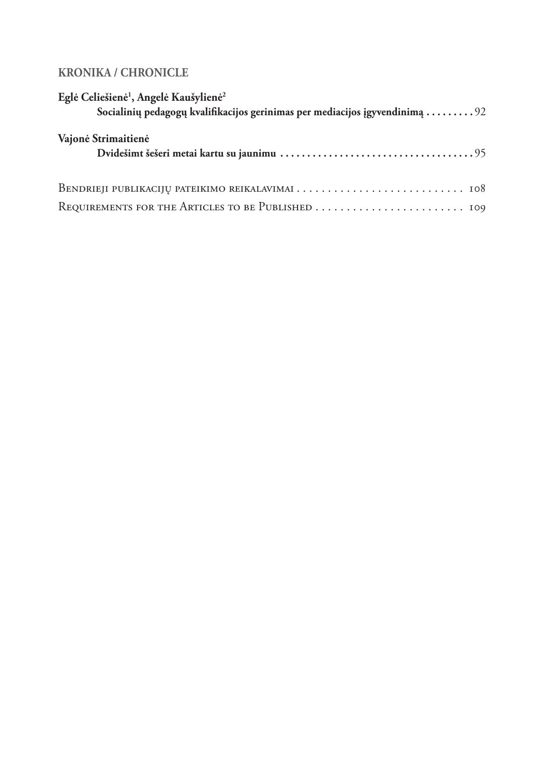#### **KRONIKA / CHRONICLE**

| Eglė Celiešienė <sup>1</sup> , Angelė Kaušylienė <sup>2</sup>                                   |
|-------------------------------------------------------------------------------------------------|
| Socialinių pedagogų kvalifikacijos gerinimas per mediacijos įgyvendinimą $\ldots \ldots \ldots$ |
| Vajonė Strimaitienė                                                                             |
|                                                                                                 |
|                                                                                                 |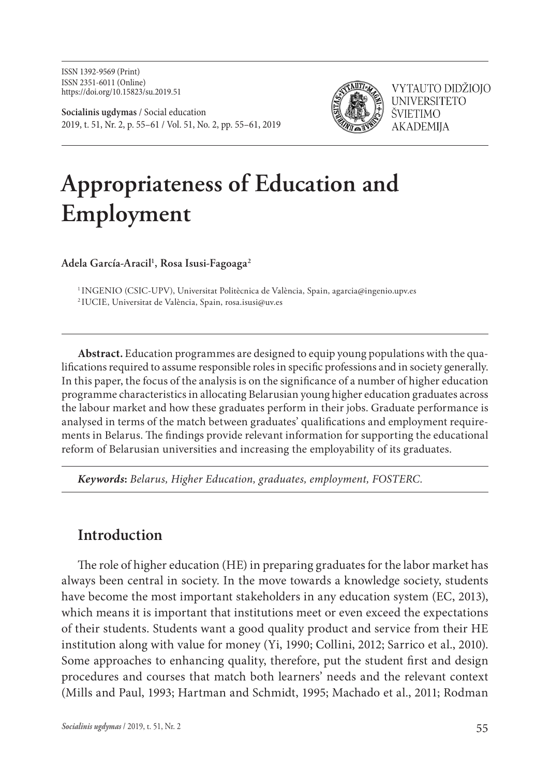ISSN 1392-9569 (Print) ISSN 2351-6011 (Online) https://doi.org/10.15823/su.2019.51

**Socialinis ugdymas** / Social education 2019, t. 51, Nr. 2, p. 55–61 / Vol. 51, No. 2, pp. 55–61, 2019



VYTAUTO DIDŽIOJO **UNIVERSITETO** ŠVIETIMO **AKADEMIIA** 

# **Appropriateness of Education and Employment**

**Adela García-Aracil1 , Rosa Isusi-Fagoaga2**

<sup>1</sup> INGENIO (CSIC-UPV), Universitat Politècnica de València, Spain, agarcia@ingenio.upv.es 2 IUCIE, Universitat de València, Spain, rosa.isusi@uv.es

**Abstract.** Education programmes are designed to equip young populations with the qualifications required to assume responsible roles in specific professions and in society generally. In this paper, the focus of the analysis is on the significance of a number of higher education programme characteristics in allocating Belarusian young higher education graduates across the labour market and how these graduates perform in their jobs. Graduate performance is analysed in terms of the match between graduates' qualifications and employment requirements in Belarus. The findings provide relevant information for supporting the educational reform of Belarusian universities and increasing the employability of its graduates.

*Keywords***:** *Belarus, Higher Education, graduates, employment, FOSTERC.*

### **Introduction**

The role of higher education (HE) in preparing graduates for the labor market has always been central in society. In the move towards a knowledge society, students have become the most important stakeholders in any education system (EC, 2013), which means it is important that institutions meet or even exceed the expectations of their students. Students want a good quality product and service from their HE institution along with value for money (Yi, 1990; Collini, 2012; Sarrico et al., 2010). Some approaches to enhancing quality, therefore, put the student first and design procedures and courses that match both learners' needs and the relevant context (Mills and Paul, 1993; Hartman and Schmidt, 1995; Machado et al., 2011; Rodman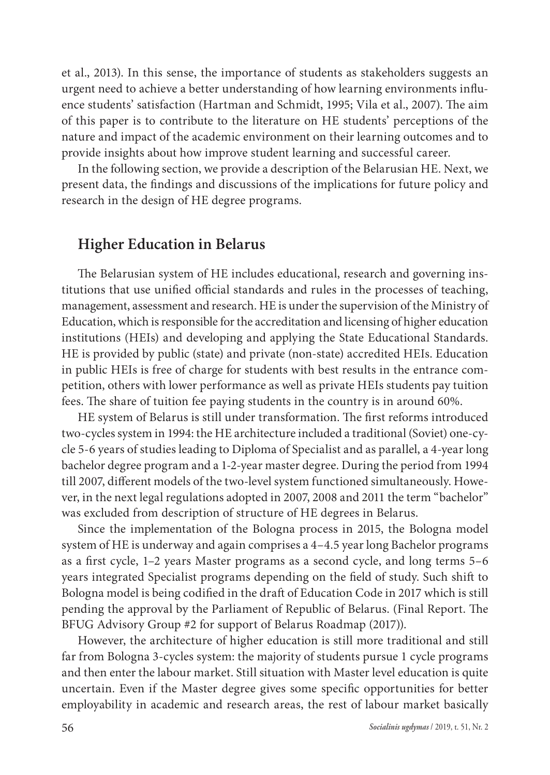et al., 2013). In this sense, the importance of students as stakeholders suggests an urgent need to achieve a better understanding of how learning environments influence students' satisfaction (Hartman and Schmidt, 1995; Vila et al., 2007). The aim of this paper is to contribute to the literature on HE students' perceptions of the nature and impact of the academic environment on their learning outcomes and to provide insights about how improve student learning and successful career.

In the following section, we provide a description of the Belarusian HE. Next, we present data, the findings and discussions of the implications for future policy and research in the design of HE degree programs.

#### **Higher Education in Belarus**

The Belarusian system of HE includes educational, research and governing institutions that use unified official standards and rules in the processes of teaching, management, assessment and research. HE is under the supervision of the Ministry of Education, which is responsible for the accreditation and licensing of higher education institutions (HEIs) and developing and applying the State Educational Standards. HE is provided by public (state) and private (non-state) accredited HEIs. Education in public HEIs is free of charge for students with best results in the entrance competition, others with lower performance as well as private HEIs students pay tuition fees. The share of tuition fee paying students in the country is in around 60%.

HE system of Belarus is still under transformation. The first reforms introduced two-cycles system in 1994: the HE architecture included a traditional (Soviet) one-cycle 5-6 years of studies leading to Diploma of Specialist and as parallel, a 4-year long bachelor degree program and a 1-2-year master degree. During the period from 1994 till 2007, different models of the two-level system functioned simultaneously. However, in the next legal regulations adopted in 2007, 2008 and 2011 the term "bachelor" was excluded from description of structure of HE degrees in Belarus.

Since the implementation of the Bologna process in 2015, the Bologna model system of HE is underway and again comprises a 4–4.5 year long Bachelor programs as a first cycle, 1–2 years Master programs as a second cycle, and long terms 5–6 years integrated Specialist programs depending on the field of study. Such shift to Bologna model is being codified in the draft of Education Code in 2017 which is still pending the approval by the Parliament of Republic of Belarus. (Final Report. The BFUG Advisory Group #2 for support of Belarus Roadmap (2017)).

However, the architecture of higher education is still more traditional and still far from Bologna 3-cycles system: the majority of students pursue 1 cycle programs and then enter the labour market. Still situation with Master level education is quite uncertain. Even if the Master degree gives some specific opportunities for better employability in academic and research areas, the rest of labour market basically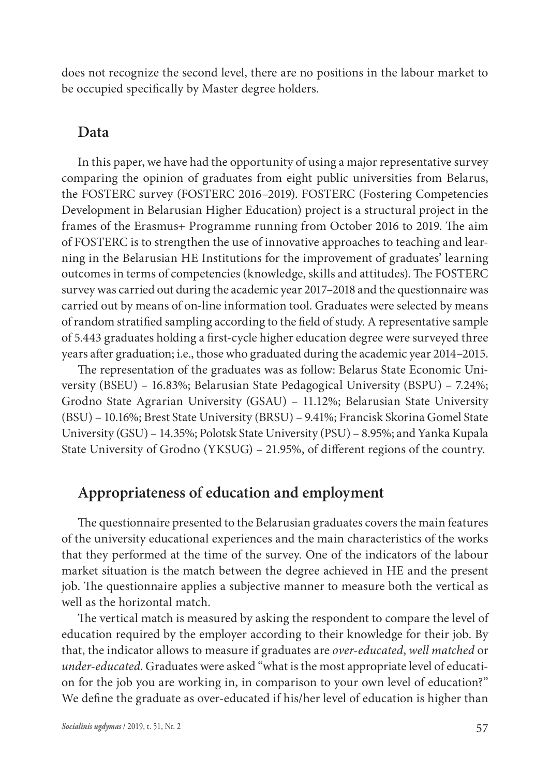does not recognize the second level, there are no positions in the labour market to be occupied specifically by Master degree holders.

#### **Data**

In this paper, we have had the opportunity of using a major representative survey comparing the opinion of graduates from eight public universities from Belarus, the FOSTERC survey (FOSTERC 2016–2019). FOSTERC (Fostering Competencies Development in Belarusian Higher Education) project is a structural project in the frames of the Erasmus+ Programme running from October 2016 to 2019. The aim of FOSTERC is to strengthen the use of innovative approaches to teaching and learning in the Belarusian HE Institutions for the improvement of graduates' learning outcomes in terms of competencies (knowledge, skills and attitudes). The FOSTERC survey was carried out during the academic year 2017–2018 and the questionnaire was carried out by means of on-line information tool. Graduates were selected by means of random stratified sampling according to the field of study. A representative sample of 5.443 graduates holding a first-cycle higher education degree were surveyed three years after graduation; i.e., those who graduated during the academic year 2014–2015.

The representation of the graduates was as follow: Belarus State Economic University (BSEU) – 16.83%; Belarusian State Pedagogical University (BSPU) – 7.24%; Grodno State Agrarian University (GSAU) – 11.12%; Belarusian State University (BSU) – 10.16%; Brest State University (BRSU) – 9.41%; Francisk Skorina Gomel State University (GSU) – 14.35%; Polotsk State University (PSU) – 8.95%; and Yanka Kupala State University of Grodno (YKSUG) – 21.95%, of different regions of the country.

## **Appropriateness of education and employment**

The questionnaire presented to the Belarusian graduates covers the main features of the university educational experiences and the main characteristics of the works that they performed at the time of the survey. One of the indicators of the labour market situation is the match between the degree achieved in HE and the present job. The questionnaire applies a subjective manner to measure both the vertical as well as the horizontal match.

The vertical match is measured by asking the respondent to compare the level of education required by the employer according to their knowledge for their job. By that, the indicator allows to measure if graduates are *over-educated*, *well matched* or *under-educated*. Graduates were asked "what is the most appropriate level of education for the job you are working in, in comparison to your own level of education?" We define the graduate as over-educated if his/her level of education is higher than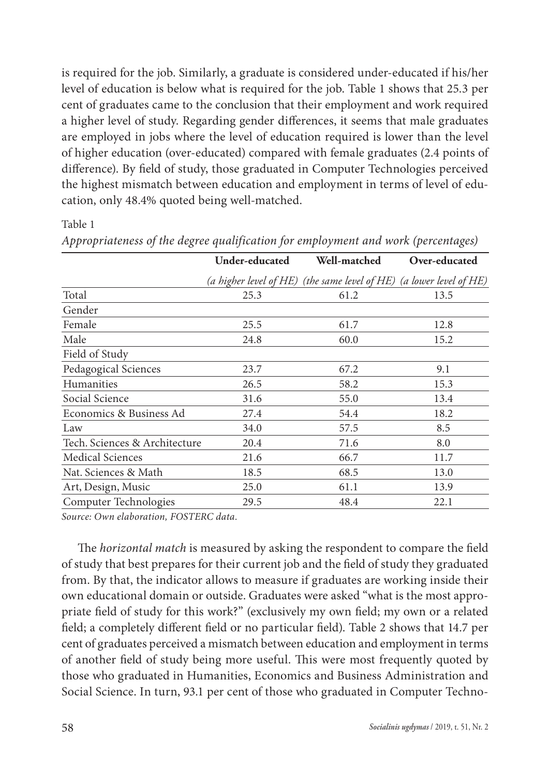is required for the job. Similarly, a graduate is considered under-educated if his/her level of education is below what is required for the job. Table 1 shows that 25.3 per cent of graduates came to the conclusion that their employment and work required a higher level of study. Regarding gender differences, it seems that male graduates are employed in jobs where the level of education required is lower than the level of higher education (over-educated) compared with female graduates (2.4 points of difference). By field of study, those graduated in Computer Technologies perceived the highest mismatch between education and employment in terms of level of education, only 48.4% quoted being well-matched.

#### Table 1

|                               | <b>Under-educated</b> | Well-matched                                                        | Over-educated |
|-------------------------------|-----------------------|---------------------------------------------------------------------|---------------|
|                               |                       | (a higher level of HE) (the same level of HE) (a lower level of HE) |               |
| Total                         | 25.3                  | 61.2                                                                | 13.5          |
| Gender                        |                       |                                                                     |               |
| Female                        | 25.5                  | 61.7                                                                | 12.8          |
| Male                          | 24.8                  | 60.0                                                                | 15.2          |
| Field of Study                |                       |                                                                     |               |
| Pedagogical Sciences          | 23.7                  | 67.2                                                                | 9.1           |
| Humanities                    | 26.5                  | 58.2                                                                | 15.3          |
| Social Science                | 31.6                  | 55.0                                                                | 13.4          |
| Economics & Business Ad       | 27.4                  | 54.4                                                                | 18.2          |
| Law                           | 34.0                  | 57.5                                                                | 8.5           |
| Tech. Sciences & Architecture | 20.4                  | 71.6                                                                | 8.0           |
| Medical Sciences              | 21.6                  | 66.7                                                                | 11.7          |
| Nat. Sciences & Math          | 18.5                  | 68.5                                                                | 13.0          |
| Art, Design, Music            | 25.0                  | 61.1                                                                | 13.9          |
| Computer Technologies         | 29.5                  | 48.4                                                                | 22.1          |

*Appropriateness of the degree qualification for employment and work (percentages)*

*Source: Own elaboration, FOSTERC data.*

The *horizontal match* is measured by asking the respondent to compare the field of study that best prepares for their current job and the field of study they graduated from. By that, the indicator allows to measure if graduates are working inside their own educational domain or outside. Graduates were asked "what is the most appropriate field of study for this work?" (exclusively my own field; my own or a related field; a completely different field or no particular field). Table 2 shows that 14.7 per cent of graduates perceived a mismatch between education and employment in terms of another field of study being more useful. This were most frequently quoted by those who graduated in Humanities, Economics and Business Administration and Social Science. In turn, 93.1 per cent of those who graduated in Computer Techno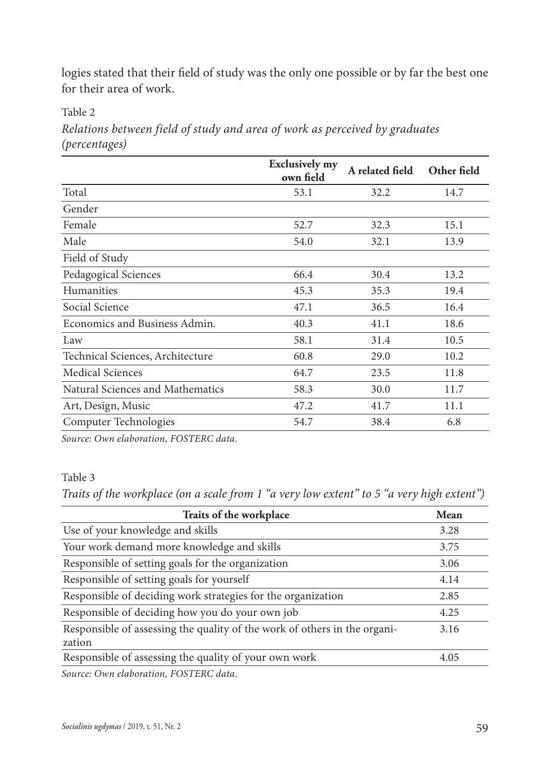logies stated that their field of study was the only one possible or by far the best one for their area of work.

Table 2

*Relations between field of study and area of work as perceived by graduates (percentages)*

|                                  | <b>Exclusively my</b><br>own field | A related field | Other field |
|----------------------------------|------------------------------------|-----------------|-------------|
| Total                            | 53.1                               | 32.2            | 14.7        |
| Gender                           |                                    |                 |             |
| Female                           | 52.7                               | 32.3            | 15.1        |
| Male                             | 54.0                               | 32.1            | 13.9        |
| Field of Study                   |                                    |                 |             |
| Pedagogical Sciences             | 66.4                               | 30.4            | 13.2        |
| Humanities                       | 45.3                               | 35.3            | 19.4        |
| Social Science                   | 47.1                               | 36.5            | 16.4        |
| Economics and Business Admin.    | 40.3                               | 41.1            | 18.6        |
| Law                              | 58.1                               | 31.4            | 10.5        |
| Technical Sciences, Architecture | 60.8                               | 29.0            | 10.2        |
| <b>Medical Sciences</b>          | 64.7                               | 23.5            | 11.8        |
| Natural Sciences and Mathematics | 58.3                               | 30.0            | 11.7        |
| Art, Design, Music               | 47.2                               | 41.7            | 11.1        |
| Computer Technologies            | 54.7                               | 38.4            | 6.8         |

*Source: Own elaboration, FOSTERC data.*

#### Table 3

*Traits of the workplace (on a scale from 1 "a very low extent" to 5 "a very high extent")*

| Traits of the workplace                                                             | Mean |
|-------------------------------------------------------------------------------------|------|
| Use of your knowledge and skills                                                    | 3.28 |
| Your work demand more knowledge and skills                                          | 3.75 |
| Responsible of setting goals for the organization                                   | 3.06 |
| Responsible of setting goals for yourself                                           | 4.14 |
| Responsible of deciding work strategies for the organization                        | 2.85 |
| Responsible of deciding how you do your own job                                     | 4.25 |
| Responsible of assessing the quality of the work of others in the organi-<br>zation | 3.16 |
| Responsible of assessing the quality of your own work                               | 4.05 |
|                                                                                     |      |

*Source: Own elaboration, FOSTERC data.*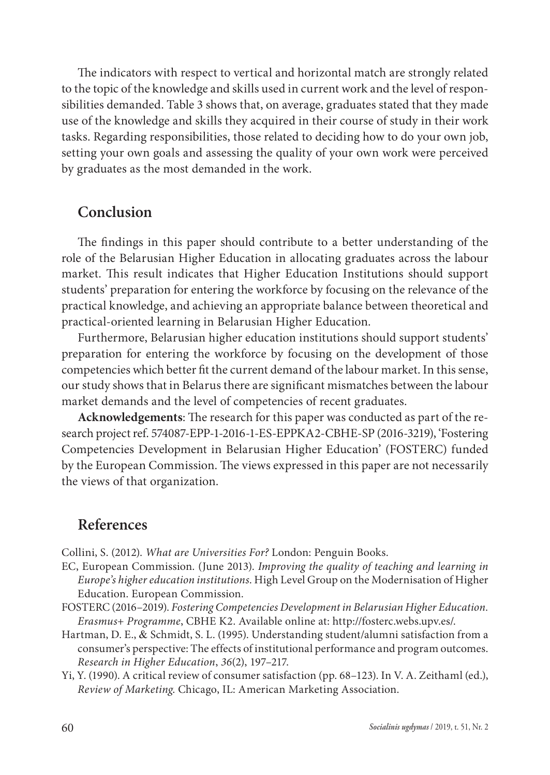The indicators with respect to vertical and horizontal match are strongly related to the topic of the knowledge and skills used in current work and the level of responsibilities demanded. Table 3 shows that, on average, graduates stated that they made use of the knowledge and skills they acquired in their course of study in their work tasks. Regarding responsibilities, those related to deciding how to do your own job, setting your own goals and assessing the quality of your own work were perceived by graduates as the most demanded in the work.

#### **Conclusion**

The findings in this paper should contribute to a better understanding of the role of the Belarusian Higher Education in allocating graduates across the labour market. This result indicates that Higher Education Institutions should support students' preparation for entering the workforce by focusing on the relevance of the practical knowledge, and achieving an appropriate balance between theoretical and practical-oriented learning in Belarusian Higher Education.

Furthermore, Belarusian higher education institutions should support students' preparation for entering the workforce by focusing on the development of those competencies which better fit the current demand of the labour market. In this sense, our study shows that in Belarus there are significant mismatches between the labour market demands and the level of competencies of recent graduates.

**Acknowledgements**: The research for this paper was conducted as part of the research project ref. 574087-EPP-1-2016-1-ES-EPPKA2-CBHE-SP (2016-3219), 'Fostering Competencies Development in Belarusian Higher Education' (FOSTERC) funded by the European Commission. The views expressed in this paper are not necessarily the views of that organization.

#### **References**

Collini, S. (2012). *What are Universities For?* London: Penguin Books.

- EC, European Commission. (June 2013). *Improving the quality of teaching and learning in Europe's higher education institutions*. High Level Group on the Modernisation of Higher Education. European Commission.
- FOSTERC (2016–2019). *Fostering Competencies Development in Belarusian Higher Education. Erasmus+ Programme*, CBHE K2. Available online at: http://fosterc.webs.upv.es/.
- Hartman, D. E., & Schmidt, S. L. (1995). Understanding student/alumni satisfaction from a consumer's perspective: The effects of institutional performance and program outcomes. *Research in Higher Education*, *36*(2), 197–217.
- Yi, Y. (1990). A critical review of consumer satisfaction (pp. 68–123). In V. A. Zeithaml (ed.), *Review of Marketing*. Chicago, IL: American Marketing Association.